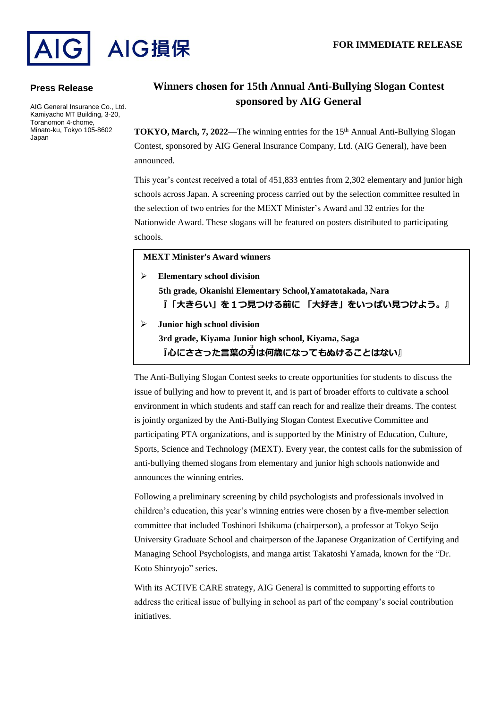

### **Press Release**

AIG General Insurance Co., Ltd. Kamiyacho MT Building, 3-20, Toranomon 4-chome, Minato-ku, Tokyo 105-8602 Japan

# **Winners chosen for 15th Annual Anti-Bullying Slogan Contest sponsored by AIG General**

**TOKYO, March, 7, 2022—The winning entries for the 15<sup>th</sup> Annual Anti-Bullying Slogan** Contest, sponsored by AIG General Insurance Company, Ltd. (AIG General), have been announced.

This year's contest received a total of 451,833 entries from 2,302 elementary and junior high schools across Japan. A screening process carried out by the selection committee resulted in the selection of two entries for the MEXT Minister's Award and 32 entries for the Nationwide Award. These slogans will be featured on posters distributed to participating schools.

## **MEXT Minister's Award winners**

- ➢ **Elementary school division 5th grade, Okanishi Elementary School,Yamatotakada, Nara 『「大きらい」を1つ見つける前に 「大好き」をいっぱい見つけよう。』**
- ➢ **Junior high school division 3rd grade, Kiyama Junior high school, Kiyama, Saga 『心にささった言葉の刃** は **は何歳になってもぬけることはない』**

The Anti-Bullying Slogan Contest seeks to create opportunities for students to discuss the issue of bullying and how to prevent it, and is part of broader efforts to cultivate a school environment in which students and staff can reach for and realize their dreams. The contest is jointly organized by the Anti-Bullying Slogan Contest Executive Committee and participating PTA organizations, and is supported by the Ministry of Education, Culture, Sports, Science and Technology (MEXT). Every year, the contest calls for the submission of anti-bullying themed slogans from elementary and junior high schools nationwide and announces the winning entries.

Following a preliminary screening by child psychologists and professionals involved in children's education, this year's winning entries were chosen by a five-member selection committee that included Toshinori Ishikuma (chairperson), a professor at Tokyo Seijo University Graduate School and chairperson of the Japanese Organization of Certifying and Managing School Psychologists, and manga artist Takatoshi Yamada, known for the "Dr. Koto Shinryojo" series.

With its ACTIVE CARE strategy, AIG General is committed to supporting efforts to address the critical issue of bullying in school as part of the company's social contribution initiatives.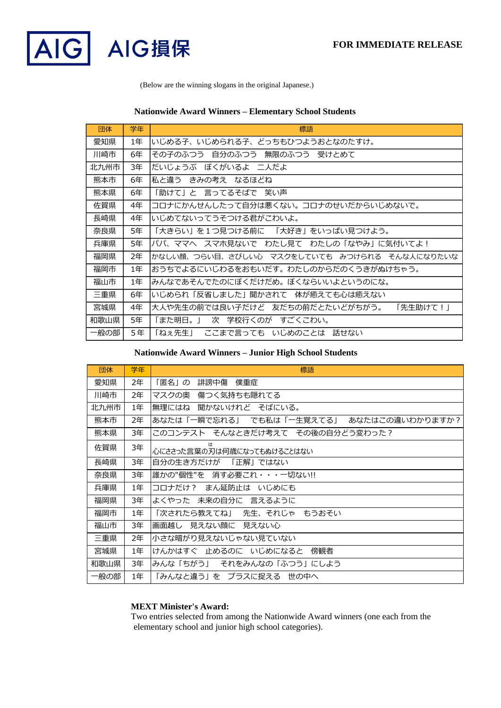

(Below are the winning slogans in the original Japanese.)

# **Nationwide Award Winners – Elementary School Students**

| 団体   | 学年 | 標語                                            |
|------|----|-----------------------------------------------|
| 愛知県  | 1年 | いじめる子、いじめられる子、どっちもひつようおとなのたすけ。                |
| 川崎市  | 6年 | その子のふつう 自分のふつう 無限のふつう 受けとめて                   |
| 北九州市 | 3年 | だいじょうぶ ぼくがいるよ 二人だよ                            |
| 熊本市  | 6年 | 私と違う きみの考え なるほどね                              |
| 熊本県  | 6年 | 「助けて」と 言ってるそばで 笑い声                            |
| 佐賀県  | 4年 | コロナにかんせんしたって自分は悪くない。コロナのせいだからいじめないで。          |
| 長崎県  | 4年 | いじめてないってうそつける君がこわいよ。                          |
| 奈良県  | 5年 | 「大きらい」を1つ見つける前に 「大好き」をいっぱい見つけよう。              |
| 兵庫県  | 5年 | パパ、ママへ スマホ見ないで わたし見て わたしの「なやみ」に気付いてよ!         |
| 福岡県  | 2年 | かなしい顔、つらい目、さびしい心 マスクをしていても みつけられる そんな人になりたいな  |
| 福岡市  | 1年 | おうちでよるにいじわるをおもいだす。わたしのからだのくうきがぬけちゃう。          |
| 福山市  | 1年 | みんなであそんでたのにぼくだけだめ。ぼくならいいよというのにな。              |
| 三重県  | 6年 | いじめられ「反省しました」聞かされて―体が癒えても心は癒えない               |
| 宮城県  | 4年 | 大人や先生の前では良い子だけど― 友だちの前だとたいどがちがう。 <br>「先生助けて!」 |
| 和歌山県 | 5年 | 「また明日。」 次 学校行くのが すごくこわい。                      |
| 一般の部 | 5年 | 「ねぇ先生」 ここまで言っても いじめのことは 話せない                  |

#### **Nationwide Award Winners – Junior High School Students**

| 団体   | 学年 | 標語                                           |
|------|----|----------------------------------------------|
| 愛知県  | 2年 | 誹謗中傷 僕重症<br>「匿名」の                            |
| 川崎市  | 2年 | マスクの奥 傷つく気持ちも隠れてる                            |
| 北九州市 | 1年 | 無理にはね 聞かないけれど そばにいる。                         |
| 熊本市  | 2年 | あなたはこの違いわかりますか?<br>あなたは「一瞬で忘れる」 でも私は「一生覚えてる」 |
| 熊本県  | 3年 | このコンテスト そんなときだけ考えて その後の自分どう変わった?             |
| 佐賀県  | 3年 | 心にささった言葉の刃は何歳になってもぬけることはない                   |
| 長崎県  | 3年 | 自分の生き方だけが 「正解」ではない                           |
| 奈良県  | 3年 | 誰かの"個性"を―消す必要これ・・・一切ない!!                     |
| 兵庫県  | 1年 | コロナだけ? まん延防止は いじめにも                          |
| 福岡県  | 3年 | よくやった 未来の自分に 言えるように                          |
| 福岡市  | 1年 | 「次されたら教えてね」 先生、それじゃ もうおそい                    |
| 福山市  | 3年 | 画面越し 見えない顔に 見えない心                            |
| 三重県  | 2年 | 小さな暗がり見えないじゃない見ていない                          |
| 宮城県  | 1年 | けんかはすぐ 止めるのに いじめになると<br>傍観者                  |
| 和歌山県 | 3年 | みんな「ちがう」 それをみんなの「ふつう」にしよう                    |
| 一般の部 | 1年 | 「みんなと違う」を プラスに捉える 世の中へ                       |

### **MEXT Minister's Award:**

Two entries selected from among the Nationwide Award winners (one each from the elementary school and junior high school categories).